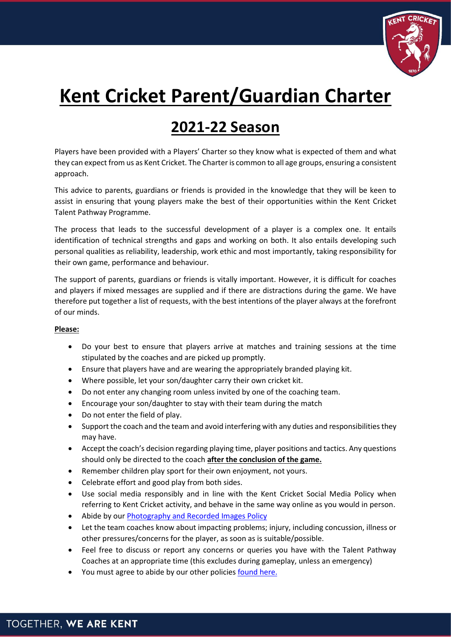

## **Kent Cricket Parent/Guardian Charter**

## **2021-22 Season**

Players have been provided with a Players' Charter so they know what is expected of them and what they can expect from us as Kent Cricket. The Charter is common to all age groups, ensuring a consistent approach.

This advice to parents, guardians or friends is provided in the knowledge that they will be keen to assist in ensuring that young players make the best of their opportunities within the Kent Cricket Talent Pathway Programme.

The process that leads to the successful development of a player is a complex one. It entails identification of technical strengths and gaps and working on both. It also entails developing such personal qualities as reliability, leadership, work ethic and most importantly, taking responsibility for their own game, performance and behaviour.

The support of parents, guardians or friends is vitally important. However, it is difficult for coaches and players if mixed messages are supplied and if there are distractions during the game. We have therefore put together a list of requests, with the best intentions of the player always at the forefront of our minds.

## **Please:**

- Do your best to ensure that players arrive at matches and training sessions at the time stipulated by the coaches and are picked up promptly.
- Ensure that players have and are wearing the appropriately branded playing kit.
- Where possible, let your son/daughter carry their own cricket kit.
- Do not enter any changing room unless invited by one of the coaching team.
- Encourage your son/daughter to stay with their team during the match
- Do not enter the field of play.
- Support the coach and the team and avoid interfering with any duties and responsibilities they may have.
- Accept the coach's decision regarding playing time, player positions and tactics. Any questions should only be directed to the coach **after the conclusion of the game.**
- Remember children play sport for their own enjoyment, not yours.
- Celebrate effort and good play from both sides.
- Use social media responsibly and in line with the Kent Cricket Social Media Policy when referring to Kent Cricket activity, and behave in the same way online as you would in person.
- Abide by ou[r Photography and Recorded Images Policy](https://www.kentcricket.co.uk/wp-content/uploads/2022-Photography-Policy.pdf)
- Let the team coaches know about impacting problems; injury, including concussion, illness or other pressures/concerns for the player, as soon as is suitable/possible.
- Feel free to discuss or report any concerns or queries you have with the Talent Pathway Coaches at an appropriate time (this excludes during gameplay, unless an emergency)
- You must agree to abide by our other policie[s found here.](https://www.kentcricket.co.uk/squads/other-squads/boys-talent-pathway/)